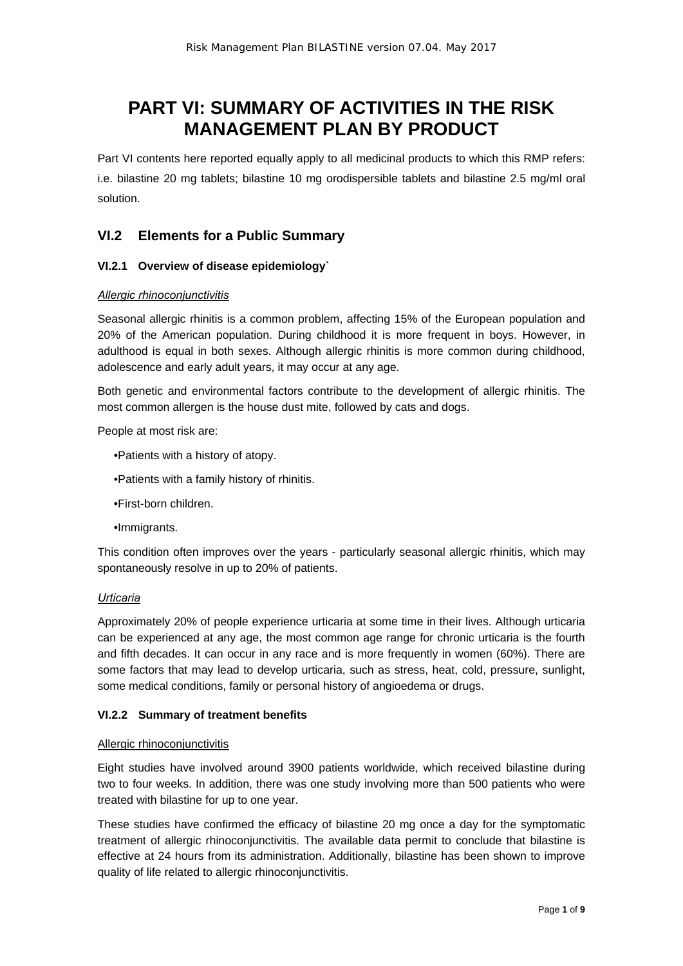# **PART VI: SUMMARY OF ACTIVITIES IN THE RISK MANAGEMENT PLAN BY PRODUCT**

Part VI contents here reported equally apply to all medicinal products to which this RMP refers: i.e. bilastine 20 mg tablets; bilastine 10 mg orodispersible tablets and bilastine 2.5 mg/ml oral solution.

# **VI.2 Elements for a Public Summary**

### **VI.2.1 Overview of disease epidemiology`**

#### *Allergic rhinoconjunctivitis*

Seasonal allergic rhinitis is a common problem, affecting 15% of the European population and 20% of the American population. During childhood it is more frequent in boys. However, in adulthood is equal in both sexes. Although allergic rhinitis is more common during childhood, adolescence and early adult years, it may occur at any age.

Both genetic and environmental factors contribute to the development of allergic rhinitis. The most common allergen is the house dust mite, followed by cats and dogs.

People at most risk are:

- •Patients with a history of atopy.
- •Patients with a family history of rhinitis.
- •First-born children.
- •Immigrants.

This condition often improves over the years - particularly seasonal allergic rhinitis, which may spontaneously resolve in up to 20% of patients.

#### *Urticaria*

Approximately 20% of people experience urticaria at some time in their lives. Although urticaria can be experienced at any age, the most common age range for chronic urticaria is the fourth and fifth decades. It can occur in any race and is more frequently in women (60%). There are some factors that may lead to develop urticaria, such as stress, heat, cold, pressure, sunlight, some medical conditions, family or personal history of angioedema or drugs.

#### **VI.2.2 Summary of treatment benefits**

#### Allergic rhinoconjunctivitis

Eight studies have involved around 3900 patients worldwide, which received bilastine during two to four weeks. In addition, there was one study involving more than 500 patients who were treated with bilastine for up to one year.

These studies have confirmed the efficacy of bilastine 20 mg once a day for the symptomatic treatment of allergic rhinoconjunctivitis. The available data permit to conclude that bilastine is effective at 24 hours from its administration. Additionally, bilastine has been shown to improve quality of life related to allergic rhinoconjunctivitis.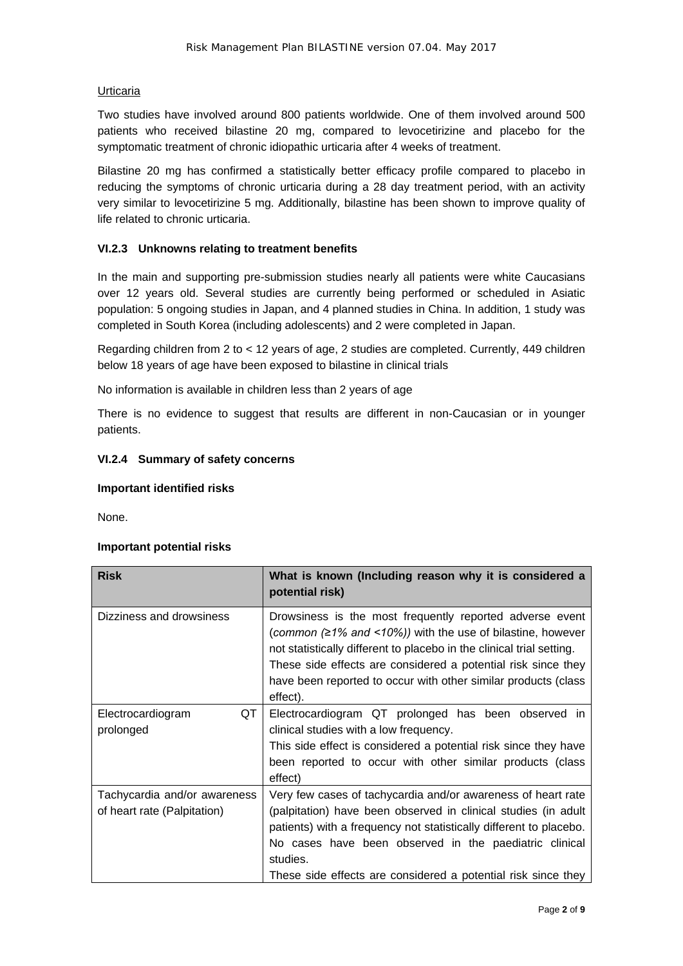### Urticaria

Two studies have involved around 800 patients worldwide. One of them involved around 500 patients who received bilastine 20 mg, compared to levocetirizine and placebo for the symptomatic treatment of chronic idiopathic urticaria after 4 weeks of treatment.

Bilastine 20 mg has confirmed a statistically better efficacy profile compared to placebo in reducing the symptoms of chronic urticaria during a 28 day treatment period, with an activity very similar to levocetirizine 5 mg. Additionally, bilastine has been shown to improve quality of life related to chronic urticaria.

### **VI.2.3 Unknowns relating to treatment benefits**

In the main and supporting pre-submission studies nearly all patients were white Caucasians over 12 years old. Several studies are currently being performed or scheduled in Asiatic population: 5 ongoing studies in Japan, and 4 planned studies in China. In addition, 1 study was completed in South Korea (including adolescents) and 2 were completed in Japan.

Regarding children from 2 to < 12 years of age, 2 studies are completed. Currently, 449 children below 18 years of age have been exposed to bilastine in clinical trials

No information is available in children less than 2 years of age

There is no evidence to suggest that results are different in non-Caucasian or in younger patients.

#### **VI.2.4 Summary of safety concerns**

#### **Important identified risks**

None.

#### **Important potential risks**

| <b>Risk</b>                                                 | What is known (Including reason why it is considered a<br>potential risk)                                                                                                                                                                                                                                                                         |
|-------------------------------------------------------------|---------------------------------------------------------------------------------------------------------------------------------------------------------------------------------------------------------------------------------------------------------------------------------------------------------------------------------------------------|
| Dizziness and drowsiness                                    | Drowsiness is the most frequently reported adverse event<br>(common $(21\%$ and <10%)) with the use of bilastine, however<br>not statistically different to placebo in the clinical trial setting.<br>These side effects are considered a potential risk since they<br>have been reported to occur with other similar products (class<br>effect). |
| QT<br>Electrocardiogram<br>prolonged                        | Electrocardiogram QT prolonged has been observed in<br>clinical studies with a low frequency.<br>This side effect is considered a potential risk since they have<br>been reported to occur with other similar products (class<br>effect)                                                                                                          |
| Tachycardia and/or awareness<br>of heart rate (Palpitation) | Very few cases of tachycardia and/or awareness of heart rate<br>(palpitation) have been observed in clinical studies (in adult<br>patients) with a frequency not statistically different to placebo.<br>No cases have been observed in the paediatric clinical<br>studies.<br>These side effects are considered a potential risk since they       |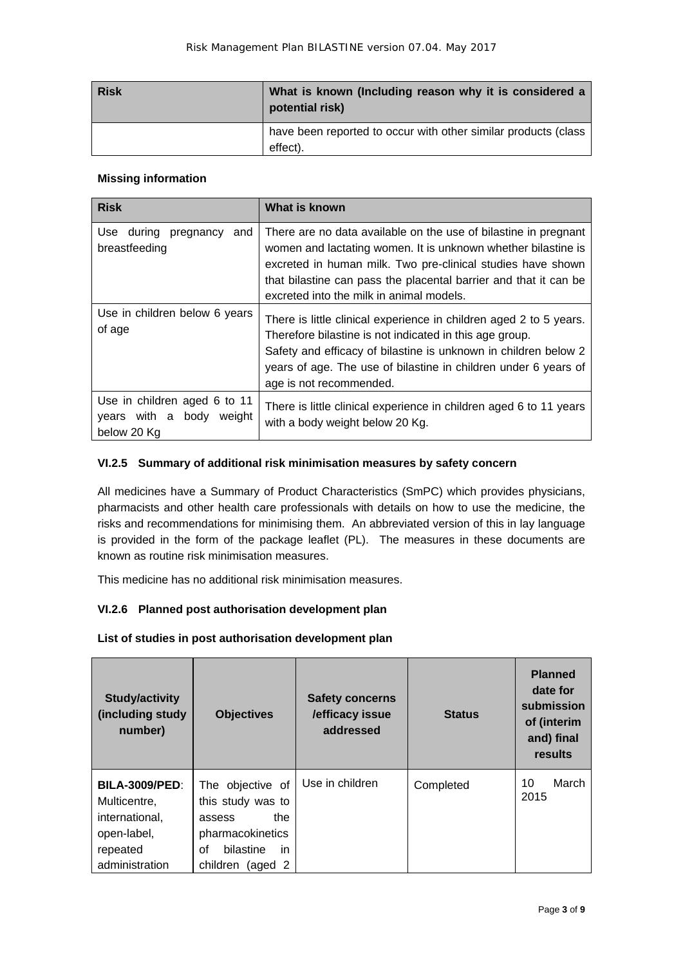| <b>Risk</b> | What is known (Including reason why it is considered a<br>potential risk)  |
|-------------|----------------------------------------------------------------------------|
|             | have been reported to occur with other similar products (class<br>effect). |

### **Missing information**

| <b>Risk</b>                                                             | What is known                                                                                                                                                                                                                                                                                                   |
|-------------------------------------------------------------------------|-----------------------------------------------------------------------------------------------------------------------------------------------------------------------------------------------------------------------------------------------------------------------------------------------------------------|
| Use<br>during<br>and<br>pregnancy<br>breastfeeding                      | There are no data available on the use of bilastine in pregnant<br>women and lactating women. It is unknown whether bilastine is<br>excreted in human milk. Two pre-clinical studies have shown<br>that bilastine can pass the placental barrier and that it can be<br>excreted into the milk in animal models. |
| Use in children below 6 years<br>of age                                 | There is little clinical experience in children aged 2 to 5 years.<br>Therefore bilastine is not indicated in this age group.<br>Safety and efficacy of bilastine is unknown in children below 2<br>years of age. The use of bilastine in children under 6 years of<br>age is not recommended.                  |
| Use in children aged 6 to 11<br>years with a body weight<br>below 20 Kg | There is little clinical experience in children aged 6 to 11 years<br>with a body weight below 20 Kg.                                                                                                                                                                                                           |

# **VI.2.5 Summary of additional risk minimisation measures by safety concern**

All medicines have a Summary of Product Characteristics (SmPC) which provides physicians, pharmacists and other health care professionals with details on how to use the medicine, the risks and recommendations for minimising them. An abbreviated version of this in lay language is provided in the form of the package leaflet (PL). The measures in these documents are known as routine risk minimisation measures.

This medicine has no additional risk minimisation measures.

# **VI.2.6 Planned post authorisation development plan**

## **List of studies in post authorisation development plan**

| <b>Study/activity</b><br>(including study<br>number) | <b>Objectives</b>              | <b>Safety concerns</b><br>/efficacy issue<br>addressed | <b>Status</b> | <b>Planned</b><br>date for<br>submission<br>of (interim<br>and) final<br>results |
|------------------------------------------------------|--------------------------------|--------------------------------------------------------|---------------|----------------------------------------------------------------------------------|
| <b>BILA-3009/PED:</b>                                | The objective of               | Use in children                                        | Completed     | March<br>10<br>2015                                                              |
| Multicentre,                                         | this study was to              |                                                        |               |                                                                                  |
| international,                                       | the<br>assess                  |                                                        |               |                                                                                  |
| open-label,                                          | pharmacokinetics               |                                                        |               |                                                                                  |
| repeated                                             | bilastine<br>in<br>Ωf          |                                                        |               |                                                                                  |
| administration                                       | children<br>$(\text{aged } 2)$ |                                                        |               |                                                                                  |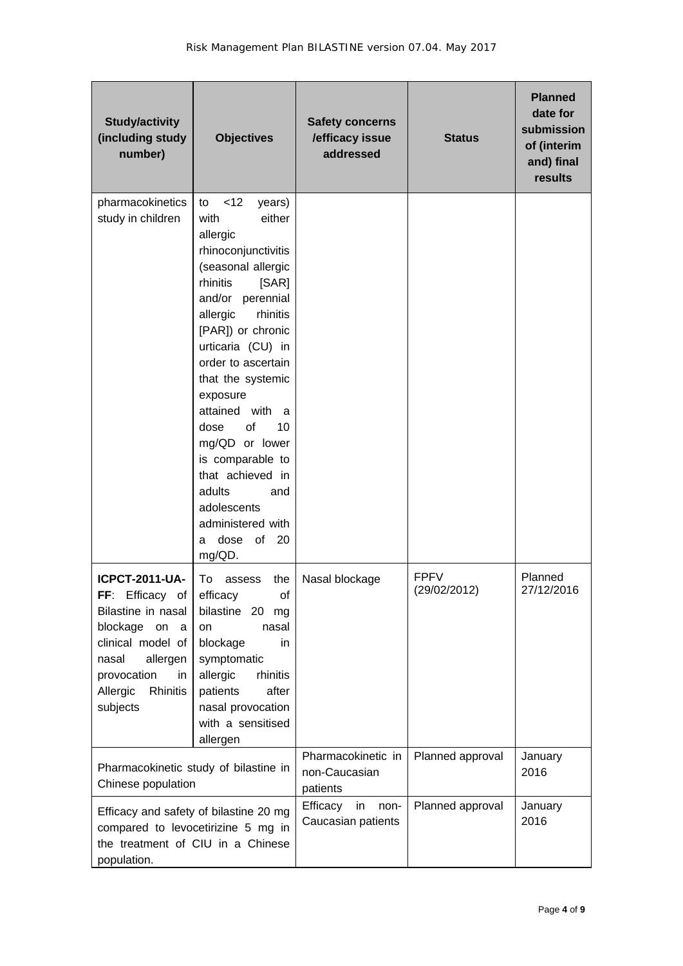| <b>Study/activity</b><br>(including study<br>number)                                                                                                                                  | <b>Objectives</b>                                                                                                                                                                                                                                                                                                                                                                                                                                       | <b>Safety concerns</b><br>/efficacy issue<br>addressed | <b>Status</b>               | <b>Planned</b><br>date for<br>submission<br>of (interim<br>and) final<br>results |
|---------------------------------------------------------------------------------------------------------------------------------------------------------------------------------------|---------------------------------------------------------------------------------------------------------------------------------------------------------------------------------------------------------------------------------------------------------------------------------------------------------------------------------------------------------------------------------------------------------------------------------------------------------|--------------------------------------------------------|-----------------------------|----------------------------------------------------------------------------------|
| pharmacokinetics<br>study in children                                                                                                                                                 | <12<br>to<br>years)<br>with<br>either<br>allergic<br>rhinoconjunctivitis<br>(seasonal allergic<br>rhinitis<br>[SAR]<br>and/or perennial<br>rhinitis<br>allergic<br>[PAR]) or chronic<br>urticaria (CU) in<br>order to ascertain<br>that the systemic<br>exposure<br>attained with a<br>of<br>10<br>dose<br>mg/QD or lower<br>is comparable to<br>that achieved in<br>adults<br>and<br>adolescents<br>administered with<br>dose of<br>-20<br>a<br>mg/QD. |                                                        |                             |                                                                                  |
| <b>ICPCT-2011-UA-</b><br>FF: Efficacy of<br>Bilastine in nasal<br>blockage on<br>a<br>clinical model of<br>allergen<br>nasal<br>provocation<br>in<br>Rhinitis<br>Allergic<br>subjects | the<br>To assess<br>efficacy<br>of<br>bilastine 20<br>mg<br>nasal<br>on<br>blockage<br>in.<br>symptomatic<br>allergic<br>rhinitis<br>patients<br>after<br>nasal provocation<br>with a sensitised<br>allergen                                                                                                                                                                                                                                            | Nasal blockage                                         | <b>FPFV</b><br>(29/02/2012) | Planned<br>27/12/2016                                                            |
| Pharmacokinetic study of bilastine in<br>Chinese population                                                                                                                           |                                                                                                                                                                                                                                                                                                                                                                                                                                                         | Pharmacokinetic in<br>non-Caucasian<br>patients        | Planned approval            | January<br>2016                                                                  |
| population.                                                                                                                                                                           | Efficacy and safety of bilastine 20 mg<br>compared to levocetirizine 5 mg in<br>the treatment of CIU in a Chinese                                                                                                                                                                                                                                                                                                                                       | Efficacy<br>in<br>non-<br>Caucasian patients           | Planned approval            | January<br>2016                                                                  |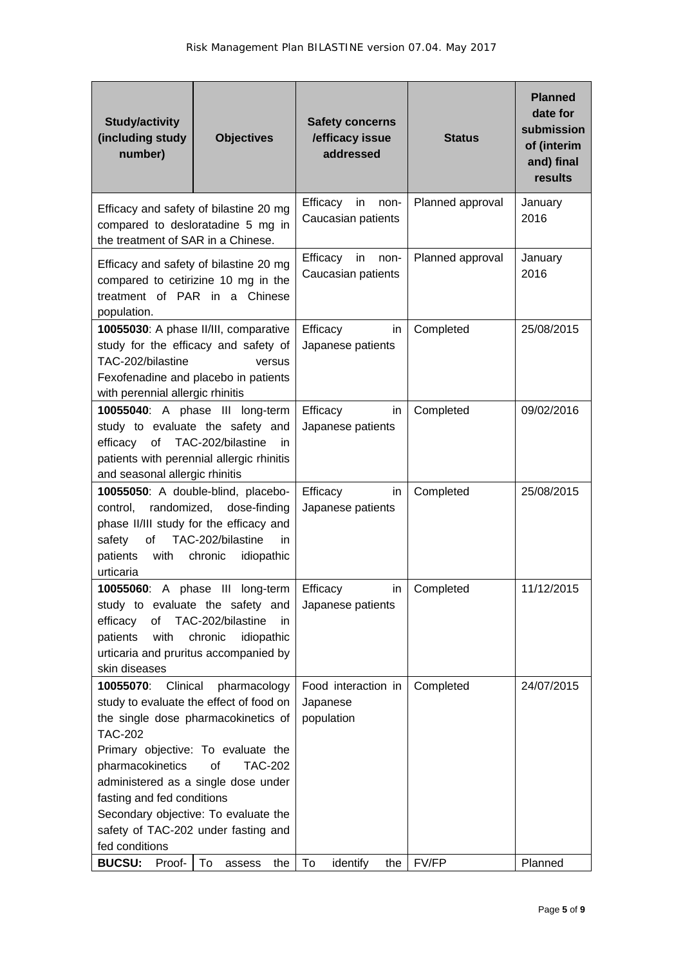| <b>Study/activity</b><br>(including study<br>number)                                                                                                                                                                                                                                                                                                                                                                                                | <b>Objectives</b>                                                                                                               | <b>Safety concerns</b><br>/efficacy issue<br>addressed                 | <b>Status</b>      | <b>Planned</b><br>date for<br>submission<br>of (interim<br>and) final<br>results |
|-----------------------------------------------------------------------------------------------------------------------------------------------------------------------------------------------------------------------------------------------------------------------------------------------------------------------------------------------------------------------------------------------------------------------------------------------------|---------------------------------------------------------------------------------------------------------------------------------|------------------------------------------------------------------------|--------------------|----------------------------------------------------------------------------------|
| the treatment of SAR in a Chinese.                                                                                                                                                                                                                                                                                                                                                                                                                  | Efficacy and safety of bilastine 20 mg<br>compared to desloratadine 5 mg in                                                     | Efficacy<br>in<br>non-<br>Caucasian patients                           | Planned approval   | January<br>2016                                                                  |
| population.                                                                                                                                                                                                                                                                                                                                                                                                                                         | Efficacy and safety of bilastine 20 mg<br>compared to cetirizine 10 mg in the<br>treatment of PAR in a Chinese                  | Efficacy<br>in<br>non-<br>Caucasian patients                           | Planned approval   | January<br>2016                                                                  |
| TAC-202/bilastine<br>with perennial allergic rhinitis                                                                                                                                                                                                                                                                                                                                                                                               | 10055030: A phase II/III, comparative<br>study for the efficacy and safety of<br>versus<br>Fexofenadine and placebo in patients | Efficacy<br>in.<br>Japanese patients                                   | Completed          | 25/08/2015                                                                       |
| 10055040: A phase III long-term<br>study to evaluate the safety and<br>of TAC-202/bilastine<br>efficacy<br>in<br>patients with perennial allergic rhinitis<br>and seasonal allergic rhinitis                                                                                                                                                                                                                                                        |                                                                                                                                 | Efficacy<br>in.<br>Japanese patients                                   | Completed          | 09/02/2016                                                                       |
| 10055050: A double-blind, placebo-<br>randomized,<br>dose-finding<br>control,<br>phase II/III study for the efficacy and<br>TAC-202/bilastine<br>of<br>safety<br>in.<br>patients<br>with<br>chronic<br>idiopathic<br>urticaria                                                                                                                                                                                                                      |                                                                                                                                 | Efficacy<br>in<br>Japanese patients                                    | Completed          | 25/08/2015                                                                       |
| 10055060: A phase III<br>long-term<br>study to evaluate the safety and<br>of<br>TAC-202/bilastine<br>efficacy<br>in<br>with<br>chronic<br>idiopathic<br>patients<br>urticaria and pruritus accompanied by<br>skin diseases                                                                                                                                                                                                                          |                                                                                                                                 | Efficacy<br>in.<br>Japanese patients                                   | Completed          | 11/12/2015                                                                       |
| 10055070:<br>Clinical<br>pharmacology<br>study to evaluate the effect of food on<br>the single dose pharmacokinetics of<br><b>TAC-202</b><br>Primary objective: To evaluate the<br>pharmacokinetics<br>οf<br><b>TAC-202</b><br>administered as a single dose under<br>fasting and fed conditions<br>Secondary objective: To evaluate the<br>safety of TAC-202 under fasting and<br>fed conditions<br><b>BUCSU:</b><br>Proof-<br>To<br>the<br>assess |                                                                                                                                 | Food interaction in<br>Japanese<br>population<br>To<br>identify<br>the | Completed<br>FV/FP | 24/07/2015<br>Planned                                                            |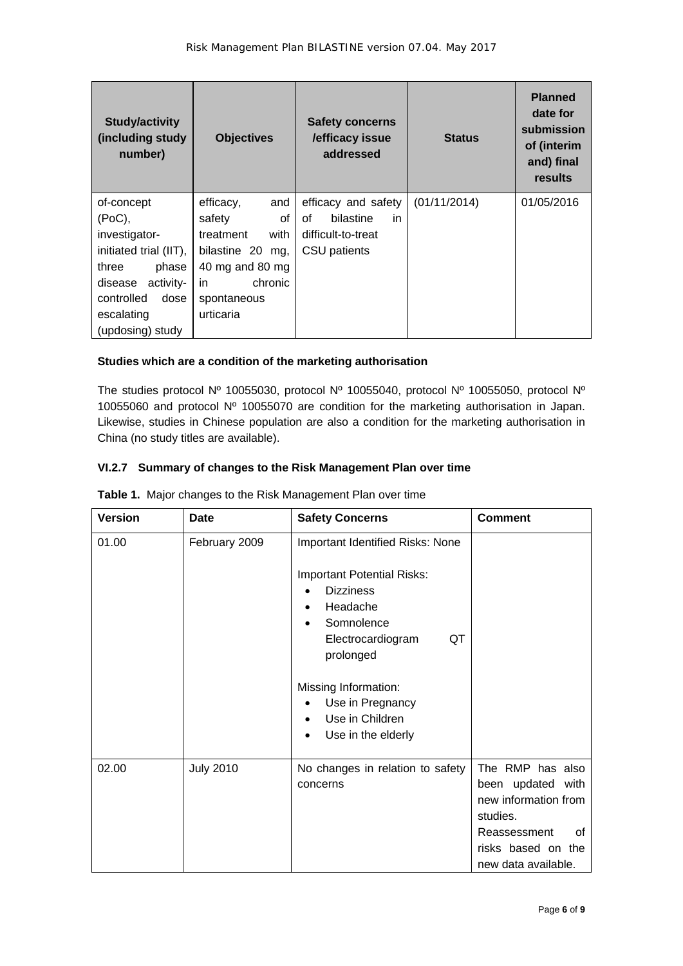| <b>Study/activity</b><br>(including study)<br>number) | <b>Objectives</b>   | <b>Safety concerns</b><br>/efficacy issue<br>addressed | <b>Status</b> | <b>Planned</b><br>date for<br>submission<br>of (interim<br>and) final<br>results |
|-------------------------------------------------------|---------------------|--------------------------------------------------------|---------------|----------------------------------------------------------------------------------|
| of-concept                                            | efficacy,<br>and    | efficacy and safety                                    | (01/11/2014)  | 01/05/2016                                                                       |
| (PoC),                                                | of<br>safety        | bilastine<br>οf<br>in.                                 |               |                                                                                  |
| investigator-                                         | with<br>treatment   | difficult-to-treat                                     |               |                                                                                  |
| initiated trial (IIT),                                | bilastine 20<br>mg, | CSU patients                                           |               |                                                                                  |
| three<br>phase                                        | 40 mg and 80 mg     |                                                        |               |                                                                                  |
| activity-<br>disease                                  | chronic<br>in.      |                                                        |               |                                                                                  |
| controlled<br>dose                                    | spontaneous         |                                                        |               |                                                                                  |
| escalating                                            | urticaria           |                                                        |               |                                                                                  |
| (updosing) study                                      |                     |                                                        |               |                                                                                  |

# **Studies which are a condition of the marketing authorisation**

The studies protocol Nº 10055030, protocol Nº 10055040, protocol Nº 10055050, protocol Nº 10055060 and protocol Nº 10055070 are condition for the marketing authorisation in Japan. Likewise, studies in Chinese population are also a condition for the marketing authorisation in China (no study titles are available).

# **VI.2.7 Summary of changes to the Risk Management Plan over time**

| <b>Version</b> | Date             | <b>Safety Concerns</b>                                                                                                                                                                                                                                                                                    | <b>Comment</b>                                                                                                                               |
|----------------|------------------|-----------------------------------------------------------------------------------------------------------------------------------------------------------------------------------------------------------------------------------------------------------------------------------------------------------|----------------------------------------------------------------------------------------------------------------------------------------------|
| 01.00          | February 2009    | Important Identified Risks: None<br><b>Important Potential Risks:</b><br><b>Dizziness</b><br>٠<br>Headache<br>$\bullet$<br>Somnolence<br>$\bullet$<br>QT<br>Electrocardiogram<br>prolonged<br>Missing Information:<br>Use in Pregnancy<br>Use in Children<br>$\bullet$<br>Use in the elderly<br>$\bullet$ |                                                                                                                                              |
| 02.00          | <b>July 2010</b> | No changes in relation to safety<br>concerns                                                                                                                                                                                                                                                              | The RMP has also<br>been updated with<br>new information from<br>studies.<br>Reassessment<br>οf<br>risks based on the<br>new data available. |

|  |  |  |  | Table 1. Major changes to the Risk Management Plan over time |  |
|--|--|--|--|--------------------------------------------------------------|--|
|--|--|--|--|--------------------------------------------------------------|--|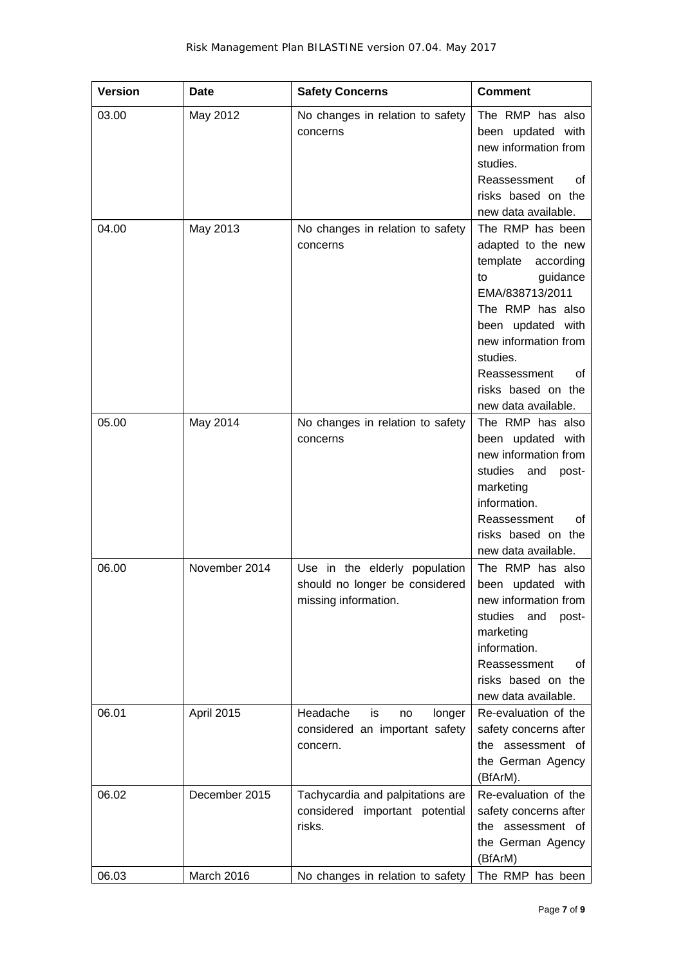| <b>Version</b> | Date          | <b>Safety Concerns</b>                                                                  | <b>Comment</b>                                                                                                                                                                                                                                       |
|----------------|---------------|-----------------------------------------------------------------------------------------|------------------------------------------------------------------------------------------------------------------------------------------------------------------------------------------------------------------------------------------------------|
| 03.00          | May 2012      | No changes in relation to safety<br>concerns                                            | The RMP has also<br>been updated with<br>new information from<br>studies.<br>Reassessment<br>οf<br>risks based on the<br>new data available.                                                                                                         |
| 04.00          | May 2013      | No changes in relation to safety<br>concerns                                            | The RMP has been<br>adapted to the new<br>template<br>according<br>guidance<br>to<br>EMA/838713/2011<br>The RMP has also<br>been updated with<br>new information from<br>studies.<br>Reassessment<br>Ωf<br>risks based on the<br>new data available. |
| 05.00          | May 2014      | No changes in relation to safety<br>concerns                                            | The RMP has also<br>been updated with<br>new information from<br>studies and<br>post-<br>marketing<br>information.<br>Reassessment<br>οf<br>risks based on the<br>new data available.                                                                |
| 06.00          | November 2014 | Use in the elderly population<br>should no longer be considered<br>missing information. | The RMP has also<br>been updated with<br>new information from<br>studies<br>and<br>post-<br>marketing<br>information.<br>Reassessment<br>οf<br>risks based on the<br>new data available.                                                             |
| 06.01          | April 2015    | Headache<br>is<br>longer<br>no<br>considered an important safety<br>concern.            | Re-evaluation of the<br>safety concerns after<br>the assessment of<br>the German Agency<br>(BfArM).                                                                                                                                                  |
| 06.02          | December 2015 | Tachycardia and palpitations are<br>considered important potential<br>risks.            | Re-evaluation of the<br>safety concerns after<br>the assessment of<br>the German Agency<br>(BfArM)                                                                                                                                                   |
| 06.03          | March 2016    | No changes in relation to safety                                                        | The RMP has been                                                                                                                                                                                                                                     |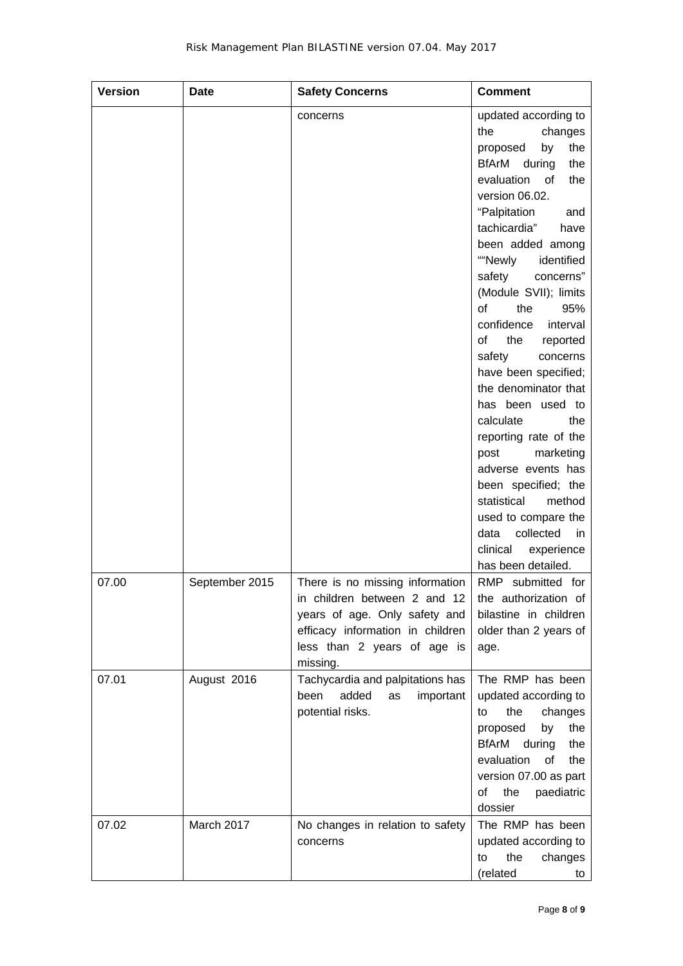| <b>Version</b> | Date           | <b>Safety Concerns</b>                                                                                                                                                          | <b>Comment</b>                                                                                                                                                                                                                                                                                                                                                                                                                                                                                                                                                                                                                                                                                       |
|----------------|----------------|---------------------------------------------------------------------------------------------------------------------------------------------------------------------------------|------------------------------------------------------------------------------------------------------------------------------------------------------------------------------------------------------------------------------------------------------------------------------------------------------------------------------------------------------------------------------------------------------------------------------------------------------------------------------------------------------------------------------------------------------------------------------------------------------------------------------------------------------------------------------------------------------|
|                |                | concerns                                                                                                                                                                        | updated according to<br>the<br>changes<br>the<br>by<br>proposed<br><b>BfArM</b><br>the<br>during<br>evaluation<br>the<br>of<br>version 06.02.<br>"Palpitation<br>and<br>tachicardia"<br>have<br>been added among<br>""Newly<br>identified<br>safety<br>concerns"<br>(Module SVII); limits<br>the<br>of<br>95%<br>confidence<br>interval<br>the<br>οf<br>reported<br>safety<br>concerns<br>have been specified;<br>the denominator that<br>has been used to<br>calculate<br>the<br>reporting rate of the<br>marketing<br>post<br>adverse events has<br>been specified; the<br>statistical<br>method<br>used to compare the<br>collected<br>data<br>in<br>clinical<br>experience<br>has been detailed. |
| 07.00          | September 2015 | There is no missing information<br>in children between 2 and 12<br>years of age. Only safety and<br>efficacy information in children<br>less than 2 years of age is<br>missing. | RMP submitted for<br>the authorization of<br>bilastine in children<br>older than 2 years of<br>age.                                                                                                                                                                                                                                                                                                                                                                                                                                                                                                                                                                                                  |
| 07.01          | August 2016    | Tachycardia and palpitations has<br>added<br>been<br>important<br>as<br>potential risks.                                                                                        | The RMP has been<br>updated according to<br>the<br>changes<br>to<br>the<br>proposed<br>by<br>BfArM during<br>the<br>evaluation<br>of<br>the<br>version 07.00 as part<br>the<br>paediatric<br>of<br>dossier                                                                                                                                                                                                                                                                                                                                                                                                                                                                                           |
| 07.02          | March 2017     | No changes in relation to safety<br>concerns                                                                                                                                    | The RMP has been<br>updated according to<br>the<br>changes<br>to<br>(related<br>to                                                                                                                                                                                                                                                                                                                                                                                                                                                                                                                                                                                                                   |